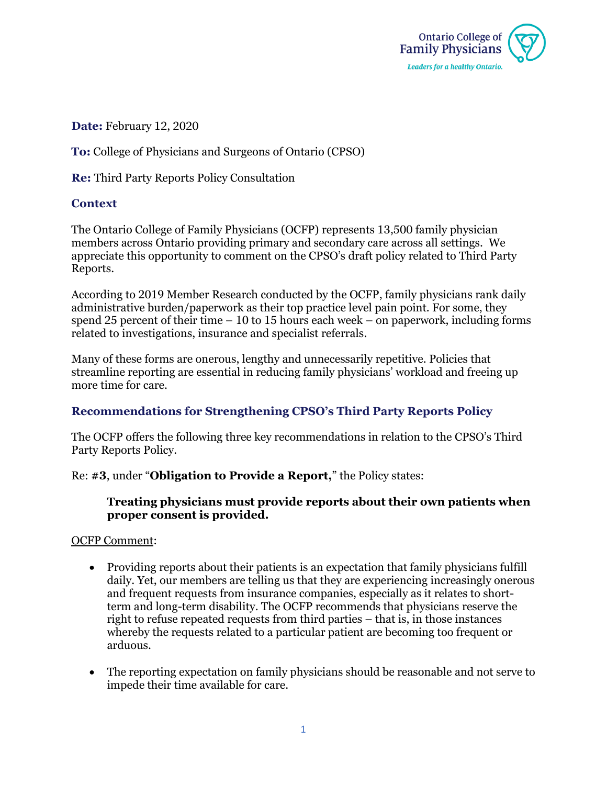

**Date:** February 12, 2020

**To:** College of Physicians and Surgeons of Ontario (CPSO)

**Re:** Third Party Reports Policy Consultation

## **Context**

The Ontario College of Family Physicians (OCFP) represents 13,500 family physician members across Ontario providing primary and secondary care across all settings. We appreciate this opportunity to comment on the CPSO's draft policy related to Third Party Reports.

According to 2019 Member Research conducted by the OCFP, family physicians rank daily administrative burden/paperwork as their top practice level pain point. For some, they spend 25 percent of their time – 10 to 15 hours each week – on paperwork, including forms related to investigations, insurance and specialist referrals.

Many of these forms are onerous, lengthy and unnecessarily repetitive. Policies that streamline reporting are essential in reducing family physicians' workload and freeing up more time for care.

# **Recommendations for Strengthening CPSO's Third Party Reports Policy**

The OCFP offers the following three key recommendations in relation to the CPSO's Third Party Reports Policy.

Re: **#3**, under "**Obligation to Provide a Report,**" the Policy states:

### **Treating physicians must provide reports about their own patients when proper consent is provided.**

OCFP Comment:

- Providing reports about their patients is an expectation that family physicians fulfill daily. Yet, our members are telling us that they are experiencing increasingly onerous and frequent requests from insurance companies, especially as it relates to shortterm and long-term disability. The OCFP recommends that physicians reserve the right to refuse repeated requests from third parties – that is, in those instances whereby the requests related to a particular patient are becoming too frequent or arduous.
- The reporting expectation on family physicians should be reasonable and not serve to impede their time available for care.